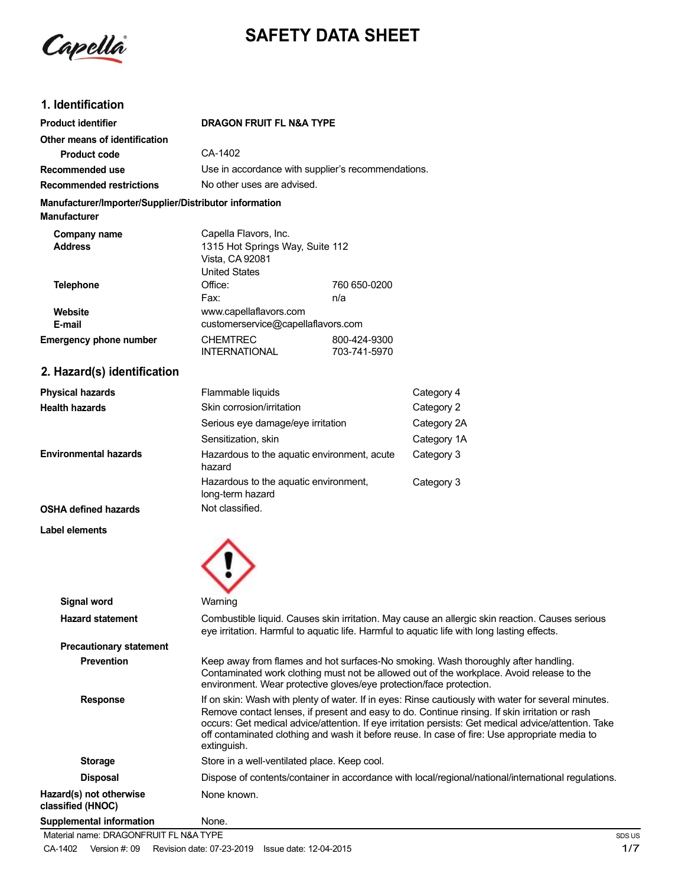Capella

# **SAFETY DATA SHEET**

## **1. Identification**

| <b>Product identifier</b>                                                     | <b>DRAGON FRUIT FL N&amp;A TYPE</b>                                                                                                                                                                                                                                                                                                                                                                                           |                              |             |
|-------------------------------------------------------------------------------|-------------------------------------------------------------------------------------------------------------------------------------------------------------------------------------------------------------------------------------------------------------------------------------------------------------------------------------------------------------------------------------------------------------------------------|------------------------------|-------------|
| Other means of identification                                                 |                                                                                                                                                                                                                                                                                                                                                                                                                               |                              |             |
| <b>Product code</b>                                                           | CA-1402                                                                                                                                                                                                                                                                                                                                                                                                                       |                              |             |
| Recommended use                                                               | Use in accordance with supplier's recommendations.                                                                                                                                                                                                                                                                                                                                                                            |                              |             |
| <b>Recommended restrictions</b>                                               | No other uses are advised.                                                                                                                                                                                                                                                                                                                                                                                                    |                              |             |
| Manufacturer/Importer/Supplier/Distributor information<br><b>Manufacturer</b> |                                                                                                                                                                                                                                                                                                                                                                                                                               |                              |             |
| Company name<br><b>Address</b>                                                | Capella Flavors, Inc.<br>1315 Hot Springs Way, Suite 112<br>Vista, CA 92081<br><b>United States</b>                                                                                                                                                                                                                                                                                                                           |                              |             |
| <b>Telephone</b>                                                              | Office:<br>Fax:                                                                                                                                                                                                                                                                                                                                                                                                               | 760 650-0200<br>n/a          |             |
| Website<br>E-mail                                                             | www.capellaflavors.com<br>customerservice@capellaflavors.com                                                                                                                                                                                                                                                                                                                                                                  |                              |             |
| <b>Emergency phone number</b>                                                 | <b>CHEMTREC</b><br><b>INTERNATIONAL</b>                                                                                                                                                                                                                                                                                                                                                                                       | 800-424-9300<br>703-741-5970 |             |
| 2. Hazard(s) identification                                                   |                                                                                                                                                                                                                                                                                                                                                                                                                               |                              |             |
| <b>Physical hazards</b>                                                       | Flammable liquids                                                                                                                                                                                                                                                                                                                                                                                                             |                              | Category 4  |
| <b>Health hazards</b>                                                         | Skin corrosion/irritation                                                                                                                                                                                                                                                                                                                                                                                                     |                              | Category 2  |
|                                                                               | Serious eye damage/eye irritation                                                                                                                                                                                                                                                                                                                                                                                             |                              | Category 2A |
|                                                                               | Sensitization, skin                                                                                                                                                                                                                                                                                                                                                                                                           |                              | Category 1A |
| <b>Environmental hazards</b>                                                  | Hazardous to the aquatic environment, acute<br>hazard                                                                                                                                                                                                                                                                                                                                                                         |                              | Category 3  |
|                                                                               | Hazardous to the aquatic environment,<br>long-term hazard                                                                                                                                                                                                                                                                                                                                                                     |                              | Category 3  |
| <b>OSHA defined hazards</b>                                                   | Not classified.                                                                                                                                                                                                                                                                                                                                                                                                               |                              |             |
| Label elements                                                                |                                                                                                                                                                                                                                                                                                                                                                                                                               |                              |             |
| <b>Signal word</b>                                                            | Warning                                                                                                                                                                                                                                                                                                                                                                                                                       |                              |             |
| <b>Hazard statement</b>                                                       | Combustible liquid. Causes skin irritation. May cause an allergic skin reaction. Causes serious<br>eye irritation. Harmful to aquatic life. Harmful to aquatic life with long lasting effects.                                                                                                                                                                                                                                |                              |             |
| <b>Precautionary statement</b>                                                |                                                                                                                                                                                                                                                                                                                                                                                                                               |                              |             |
| <b>Prevention</b>                                                             | Keep away from flames and hot surfaces-No smoking. Wash thoroughly after handling.<br>Contaminated work clothing must not be allowed out of the workplace. Avoid release to the<br>environment. Wear protective gloves/eye protection/face protection.                                                                                                                                                                        |                              |             |
| <b>Response</b>                                                               | If on skin: Wash with plenty of water. If in eyes: Rinse cautiously with water for several minutes.<br>Remove contact lenses, if present and easy to do. Continue rinsing. If skin irritation or rash<br>occurs: Get medical advice/attention. If eye irritation persists: Get medical advice/attention. Take<br>off contaminated clothing and wash it before reuse. In case of fire: Use appropriate media to<br>extinguish. |                              |             |
| <b>Storage</b>                                                                | Store in a well-ventilated place. Keep cool.                                                                                                                                                                                                                                                                                                                                                                                  |                              |             |

Disposal **Dispose of contents/container in accordance with local/regional/national/international regulations. Hazard(s)** not otherwise None known. **classified (HNOC)**

**Supplemental information** None.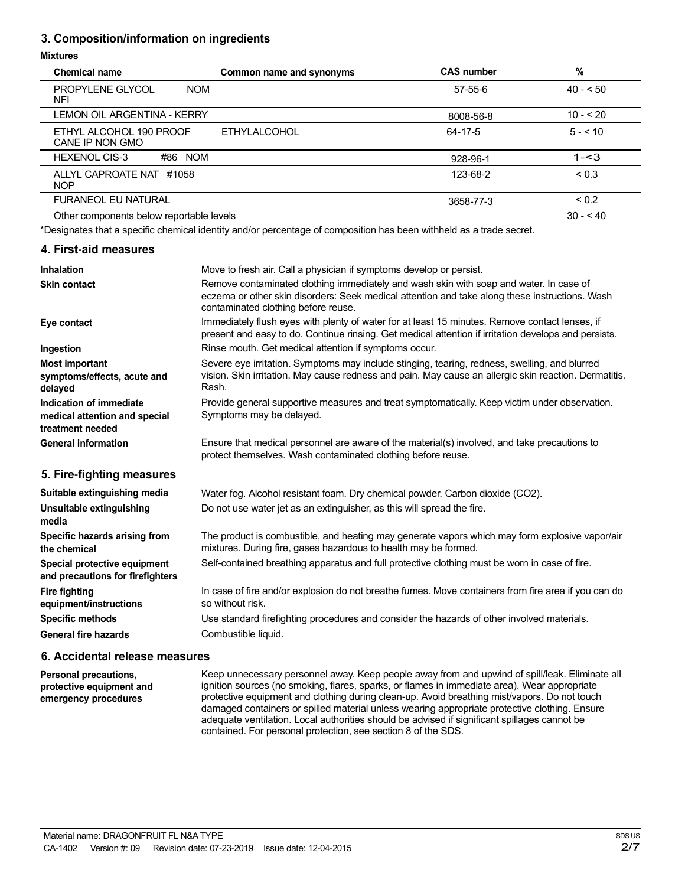## **3. Composition/information on ingredients**

#### **Mixtures**

| <b>Chemical name</b>                         | Common name and synonyms | <b>CAS number</b> | %          |
|----------------------------------------------|--------------------------|-------------------|------------|
| <b>PROPYLENE GLYCOL</b><br><b>NOM</b><br>NFI |                          | $57 - 55 - 6$     | $40 - 50$  |
| <b>LEMON OIL ARGENTINA - KERRY</b>           |                          | 8008-56-8         | $10 - 20$  |
| ETHYL ALCOHOL 190 PROOF<br>CANE IP NON GMO   | <b>ETHYLALCOHOL</b>      | 64-17-5           | $5 - 10$   |
| <b>HEXENOL CIS-3</b><br>#86 NOM              |                          | 928-96-1          | $1 - 3$    |
| ALLYL CAPROATE NAT #1058<br><b>NOP</b>       |                          | 123-68-2          | ${}_{0.3}$ |
| <b>FURANEOL EU NATURAL</b>                   |                          | 3658-77-3         | ${}_{0.2}$ |
| Other components below reportable levels     |                          |                   | $30 - 40$  |

\*Designates that a specific chemical identity and/or percentage of composition has been withheld as a trade secret.

## **4. First-aid measures**

| <b>Inhalation</b>                                                            | Move to fresh air. Call a physician if symptoms develop or persist.                                                                                                                                                             |
|------------------------------------------------------------------------------|---------------------------------------------------------------------------------------------------------------------------------------------------------------------------------------------------------------------------------|
| <b>Skin contact</b>                                                          | Remove contaminated clothing immediately and wash skin with soap and water. In case of<br>eczema or other skin disorders: Seek medical attention and take along these instructions. Wash<br>contaminated clothing before reuse. |
| Eye contact                                                                  | Immediately flush eyes with plenty of water for at least 15 minutes. Remove contact lenses, if<br>present and easy to do. Continue rinsing. Get medical attention if irritation develops and persists.                          |
| Ingestion                                                                    | Rinse mouth. Get medical attention if symptoms occur.                                                                                                                                                                           |
| <b>Most important</b><br>symptoms/effects, acute and<br>delayed              | Severe eye irritation. Symptoms may include stinging, tearing, redness, swelling, and blurred<br>vision. Skin irritation. May cause redness and pain. May cause an allergic skin reaction. Dermatitis.<br>Rash.                 |
| Indication of immediate<br>medical attention and special<br>treatment needed | Provide general supportive measures and treat symptomatically. Keep victim under observation.<br>Symptoms may be delayed.                                                                                                       |
| <b>General information</b>                                                   | Ensure that medical personnel are aware of the material(s) involved, and take precautions to<br>protect themselves. Wash contaminated clothing before reuse.                                                                    |
| 5. Fire-fighting measures                                                    |                                                                                                                                                                                                                                 |
| Suitable extinguishing media<br>Unsuitable extinguishing                     | Water fog. Alcohol resistant foam. Dry chemical powder. Carbon dioxide (CO2).<br>Do not use water jet as an extinguisher, as this will spread the fire.                                                                         |

| Unsultable extinguishing<br>media                                | Do not use water jet as an extinguisher, as this will spread the life.                                                                                            |
|------------------------------------------------------------------|-------------------------------------------------------------------------------------------------------------------------------------------------------------------|
| Specific hazards arising from<br>the chemical                    | The product is combustible, and heating may generate vapors which may form explosive vapor/air<br>mixtures. During fire, gases hazardous to health may be formed. |
| Special protective equipment<br>and precautions for firefighters | Self-contained breathing apparatus and full protective clothing must be worn in case of fire.                                                                     |
| <b>Fire fighting</b><br>equipment/instructions                   | In case of fire and/or explosion do not breathe fumes. Move containers from fire area if you can do<br>so without risk.                                           |
| <b>Specific methods</b>                                          | Use standard firefighting procedures and consider the hazards of other involved materials.                                                                        |
| <b>General fire hazards</b>                                      | Combustible liquid.                                                                                                                                               |
|                                                                  |                                                                                                                                                                   |

#### **6. Accidental release measures**

**Personal precautions, protective equipment and emergency procedures** Keep unnecessary personnel away. Keep people away from and upwind of spill/leak. Eliminate all ignition sources (no smoking, flares, sparks, or flames in immediate area). Wear appropriate protective equipment and clothing during clean-up. Avoid breathing mist/vapors. Do not touch damaged containers or spilled material unless wearing appropriate protective clothing. Ensure adequate ventilation. Local authorities should be advised if significant spillages cannot be contained. For personal protection, see section 8 of the SDS.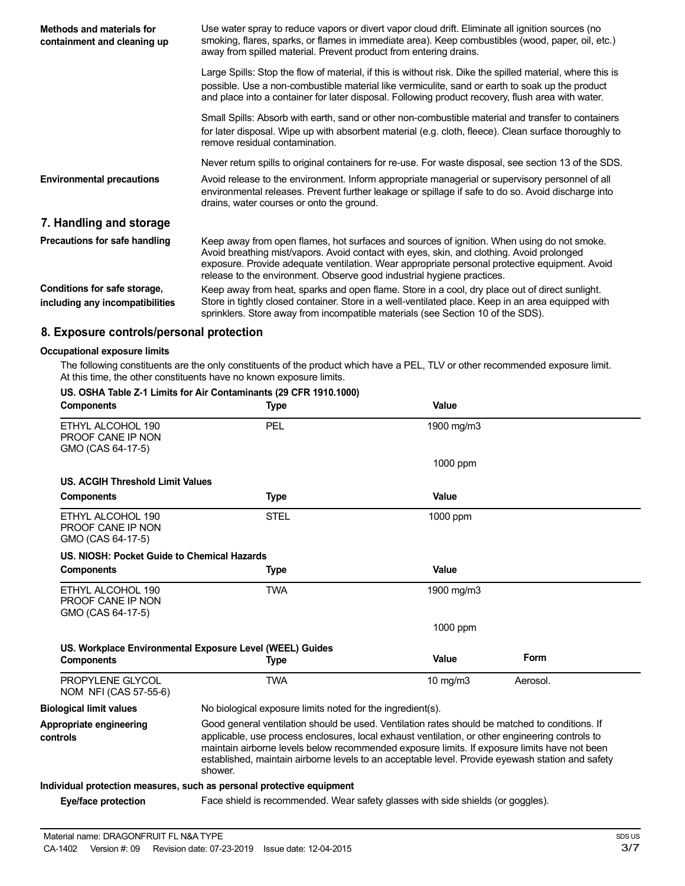| Methods and materials for<br>containment and cleaning up        | Use water spray to reduce vapors or divert vapor cloud drift. Eliminate all ignition sources (no<br>smoking, flares, sparks, or flames in immediate area). Keep combustibles (wood, paper, oil, etc.)<br>away from spilled material. Prevent product from entering drains.                                                                                         |
|-----------------------------------------------------------------|--------------------------------------------------------------------------------------------------------------------------------------------------------------------------------------------------------------------------------------------------------------------------------------------------------------------------------------------------------------------|
|                                                                 | Large Spills: Stop the flow of material, if this is without risk. Dike the spilled material, where this is<br>possible. Use a non-combustible material like vermiculite, sand or earth to soak up the product<br>and place into a container for later disposal. Following product recovery, flush area with water.                                                 |
|                                                                 | Small Spills: Absorb with earth, sand or other non-combustible material and transfer to containers<br>for later disposal. Wipe up with absorbent material (e.g. cloth, fleece). Clean surface thoroughly to<br>remove residual contamination.                                                                                                                      |
|                                                                 | Never return spills to original containers for re-use. For waste disposal, see section 13 of the SDS.                                                                                                                                                                                                                                                              |
| <b>Environmental precautions</b>                                | Avoid release to the environment. Inform appropriate managerial or supervisory personnel of all<br>environmental releases. Prevent further leakage or spillage if safe to do so. Avoid discharge into<br>drains, water courses or onto the ground.                                                                                                                 |
| 7. Handling and storage                                         |                                                                                                                                                                                                                                                                                                                                                                    |
| Precautions for safe handling                                   | Keep away from open flames, hot surfaces and sources of ignition. When using do not smoke.<br>Avoid breathing mist/vapors. Avoid contact with eyes, skin, and clothing. Avoid prolonged<br>exposure. Provide adequate ventilation. Wear appropriate personal protective equipment. Avoid<br>release to the environment. Observe good industrial hygiene practices. |
| Conditions for safe storage,<br>including any incompatibilities | Keep away from heat, sparks and open flame. Store in a cool, dry place out of direct sunlight.<br>Store in tightly closed container. Store in a well-ventilated place. Keep in an area equipped with<br>sprinklers. Store away from incompatible materials (see Section 10 of the SDS).                                                                            |

## **8. Exposure controls/personal protection**

#### **Occupational exposure limits**

The following constituents are the only constituents of the product which have a PEL, TLV or other recommended exposure limit. At this time, the other constituents have no known exposure limits.

#### **US. OSHA Table Z-1 Limits for Air Contaminants (29 CFR 1910.1000)**

| <b>Components</b>                                           | <b>Type</b>                                                                                                                                                                                                                                                                                                                                                                                                      | Value      |          |  |
|-------------------------------------------------------------|------------------------------------------------------------------------------------------------------------------------------------------------------------------------------------------------------------------------------------------------------------------------------------------------------------------------------------------------------------------------------------------------------------------|------------|----------|--|
| ETHYL ALCOHOL 190<br>PROOF CANE IP NON<br>GMO (CAS 64-17-5) | <b>PEL</b>                                                                                                                                                                                                                                                                                                                                                                                                       | 1900 mg/m3 |          |  |
|                                                             |                                                                                                                                                                                                                                                                                                                                                                                                                  | 1000 ppm   |          |  |
| <b>US. ACGIH Threshold Limit Values</b>                     |                                                                                                                                                                                                                                                                                                                                                                                                                  |            |          |  |
| <b>Components</b>                                           | Type                                                                                                                                                                                                                                                                                                                                                                                                             | Value      |          |  |
| ETHYL ALCOHOL 190<br>PROOF CANE IP NON<br>GMO (CAS 64-17-5) | <b>STEL</b>                                                                                                                                                                                                                                                                                                                                                                                                      | 1000 ppm   |          |  |
| U.S. NIOSH: Pocket Guide to Chemical Hazards                |                                                                                                                                                                                                                                                                                                                                                                                                                  |            |          |  |
| <b>Components</b>                                           | Type                                                                                                                                                                                                                                                                                                                                                                                                             | Value      |          |  |
| ETHYL ALCOHOL 190<br>PROOF CANE IP NON<br>GMO (CAS 64-17-5) | <b>TWA</b>                                                                                                                                                                                                                                                                                                                                                                                                       | 1900 mg/m3 |          |  |
|                                                             |                                                                                                                                                                                                                                                                                                                                                                                                                  | 1000 ppm   |          |  |
|                                                             | US. Workplace Environmental Exposure Level (WEEL) Guides                                                                                                                                                                                                                                                                                                                                                         |            |          |  |
| <b>Components</b>                                           | <b>Type</b>                                                                                                                                                                                                                                                                                                                                                                                                      | Value      | Form     |  |
| PROPYLENE GLYCOL<br>NOM NFI (CAS 57-55-6)                   | <b>TWA</b>                                                                                                                                                                                                                                                                                                                                                                                                       | 10 $mg/m3$ | Aerosol. |  |
| <b>Biological limit values</b>                              | No biological exposure limits noted for the ingredient(s).                                                                                                                                                                                                                                                                                                                                                       |            |          |  |
| Appropriate engineering<br>controls                         | Good general ventilation should be used. Ventilation rates should be matched to conditions. If<br>applicable, use process enclosures, local exhaust ventilation, or other engineering controls to<br>maintain airborne levels below recommended exposure limits. If exposure limits have not been<br>established, maintain airborne levels to an acceptable level. Provide eyewash station and safety<br>shower. |            |          |  |
|                                                             | Individual protection measures, such as personal protective equipment                                                                                                                                                                                                                                                                                                                                            |            |          |  |
| Eve/face protection                                         | Face shield is recommended. Wear safety glasses with side shields (or goggles).                                                                                                                                                                                                                                                                                                                                  |            |          |  |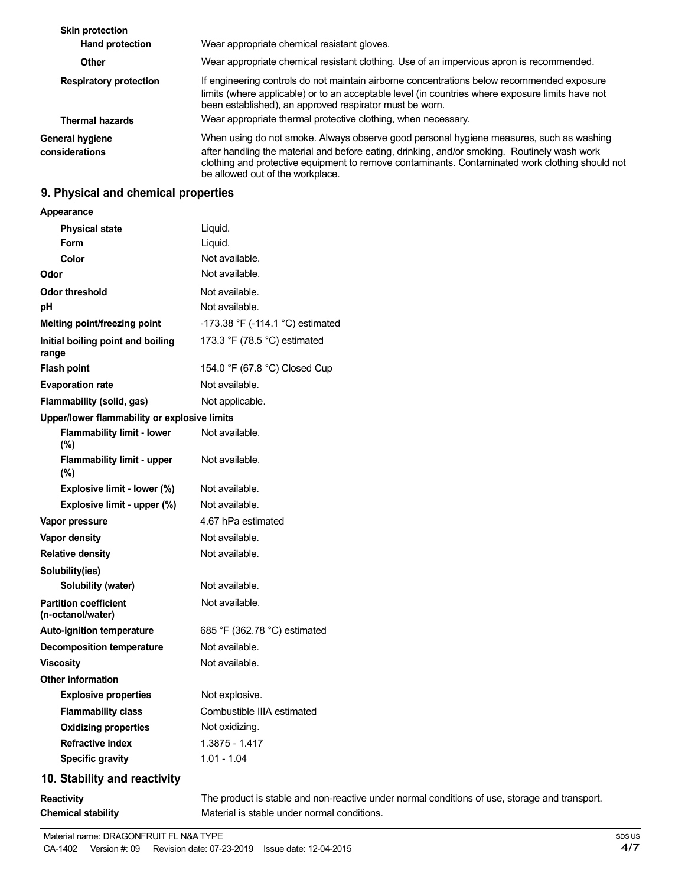| <b>Skin protection</b><br><b>Hand protection</b> | Wear appropriate chemical resistant gloves.                                                                                                                                                                                                                                                                                    |
|--------------------------------------------------|--------------------------------------------------------------------------------------------------------------------------------------------------------------------------------------------------------------------------------------------------------------------------------------------------------------------------------|
| <b>Other</b>                                     | Wear appropriate chemical resistant clothing. Use of an impervious apron is recommended.                                                                                                                                                                                                                                       |
| <b>Respiratory protection</b>                    | If engineering controls do not maintain airborne concentrations below recommended exposure<br>limits (where applicable) or to an acceptable level (in countries where exposure limits have not<br>been established), an approved respirator must be worn.                                                                      |
| <b>Thermal hazards</b>                           | Wear appropriate thermal protective clothing, when necessary.                                                                                                                                                                                                                                                                  |
| General hygiene<br>considerations                | When using do not smoke. Always observe good personal hygiene measures, such as washing<br>after handling the material and before eating, drinking, and/or smoking. Routinely wash work<br>clothing and protective equipment to remove contaminants. Contaminated work clothing should not<br>be allowed out of the workplace. |

## **9. Physical and chemical properties**

**Appearance**

| <b>Physical state</b>                             | Liquid.                          |
|---------------------------------------------------|----------------------------------|
| Form                                              | Liquid.                          |
| Color                                             | Not available.                   |
| Odor                                              | Not available.                   |
| Odor threshold                                    | Not available.                   |
| рH                                                | Not available.                   |
| Melting point/freezing point                      | -173.38 °F (-114.1 °C) estimated |
| Initial boiling point and boiling<br>range        | 173.3 °F (78.5 °C) estimated     |
| <b>Flash point</b>                                | 154.0 °F (67.8 °C) Closed Cup    |
| <b>Evaporation rate</b>                           | Not available.                   |
| Flammability (solid, gas)                         | Not applicable.                  |
| Upper/lower flammability or explosive limits      |                                  |
| <b>Flammability limit - lower</b><br>(%)          | Not available.                   |
| Flammability limit - upper<br>$(\% )$             | Not available.                   |
| Explosive limit - lower (%)                       | Not available.                   |
| Explosive limit - upper (%)                       | Not available.                   |
| Vapor pressure                                    | 4.67 hPa estimated               |
| <b>Vapor density</b>                              | Not available.                   |
| <b>Relative density</b>                           | Not available.                   |
| Solubility(ies)                                   |                                  |
| Solubility (water)                                | Not available.                   |
| <b>Partition coefficient</b><br>(n-octanol/water) | Not available.                   |
| <b>Auto-ignition temperature</b>                  | 685 °F (362.78 °C) estimated     |
| <b>Decomposition temperature</b>                  | Not available.                   |
| <b>Viscositv</b>                                  | Not available.                   |
| <b>Other information</b>                          |                                  |
| <b>Explosive properties</b>                       | Not explosive.                   |
| <b>Flammability class</b>                         | Combustible IIIA estimated       |
| <b>Oxidizing properties</b>                       | Not oxidizing.                   |
| <b>Refractive index</b>                           | 1.3875 - 1.417                   |
| <b>Specific gravity</b>                           | $1.01 - 1.04$                    |
| 10. Stability and reactivity                      |                                  |

# **Reactivity**

**Chemical stability**

The product is stable and non-reactive under normal conditions of use, storage and transport. Material is stable under normal conditions.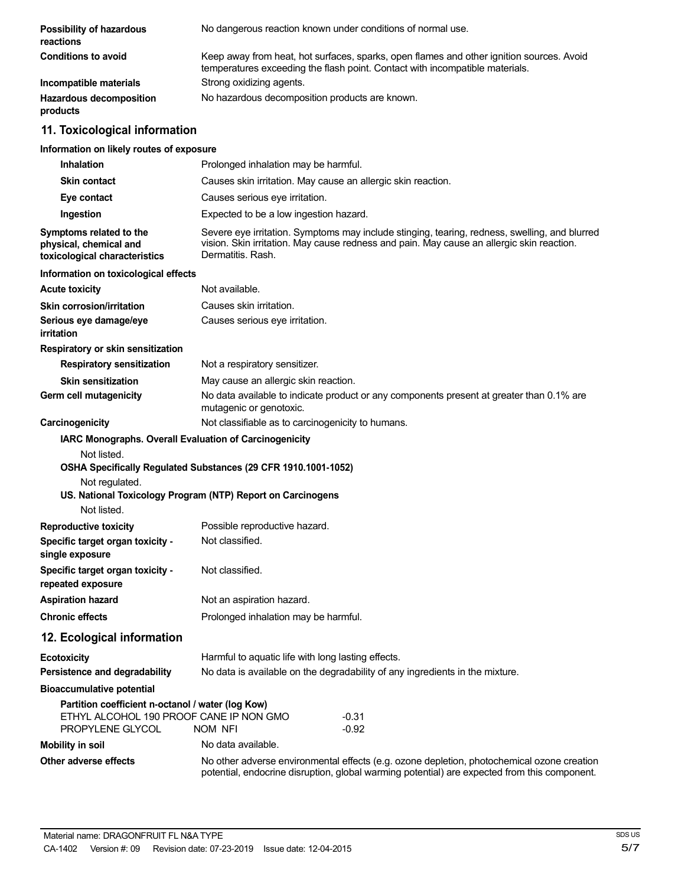| Possibility of hazardous<br>reactions                                                                            | No dangerous reaction known under conditions of normal use.                                                                                                                                                     |  |
|------------------------------------------------------------------------------------------------------------------|-----------------------------------------------------------------------------------------------------------------------------------------------------------------------------------------------------------------|--|
| <b>Conditions to avoid</b>                                                                                       | Keep away from heat, hot surfaces, sparks, open flames and other ignition sources. Avoid<br>temperatures exceeding the flash point. Contact with incompatible materials.                                        |  |
| Incompatible materials                                                                                           | Strong oxidizing agents.                                                                                                                                                                                        |  |
| <b>Hazardous decomposition</b><br>products                                                                       | No hazardous decomposition products are known.                                                                                                                                                                  |  |
| 11. Toxicological information                                                                                    |                                                                                                                                                                                                                 |  |
| Information on likely routes of exposure                                                                         |                                                                                                                                                                                                                 |  |
| <b>Inhalation</b>                                                                                                | Prolonged inhalation may be harmful.                                                                                                                                                                            |  |
| <b>Skin contact</b>                                                                                              | Causes skin irritation. May cause an allergic skin reaction.                                                                                                                                                    |  |
| Eye contact                                                                                                      | Causes serious eye irritation.                                                                                                                                                                                  |  |
| Ingestion                                                                                                        | Expected to be a low ingestion hazard.                                                                                                                                                                          |  |
| Symptoms related to the<br>physical, chemical and<br>toxicological characteristics                               | Severe eye irritation. Symptoms may include stinging, tearing, redness, swelling, and blurred<br>vision. Skin irritation. May cause redness and pain. May cause an allergic skin reaction.<br>Dermatitis, Rash. |  |
| Information on toxicological effects                                                                             |                                                                                                                                                                                                                 |  |
| <b>Acute toxicity</b>                                                                                            | Not available.                                                                                                                                                                                                  |  |
| <b>Skin corrosion/irritation</b>                                                                                 | Causes skin irritation.                                                                                                                                                                                         |  |
| Serious eye damage/eye<br>irritation                                                                             | Causes serious eye irritation.                                                                                                                                                                                  |  |
| Respiratory or skin sensitization                                                                                |                                                                                                                                                                                                                 |  |
| <b>Respiratory sensitization</b>                                                                                 | Not a respiratory sensitizer.                                                                                                                                                                                   |  |
| <b>Skin sensitization</b>                                                                                        | May cause an allergic skin reaction.                                                                                                                                                                            |  |
| Germ cell mutagenicity                                                                                           | No data available to indicate product or any components present at greater than 0.1% are<br>mutagenic or genotoxic.                                                                                             |  |
| Carcinogenicity                                                                                                  | Not classifiable as to carcinogenicity to humans.                                                                                                                                                               |  |
| IARC Monographs. Overall Evaluation of Carcinogenicity<br>Not listed.<br>Not regulated.<br>Not listed.           | OSHA Specifically Regulated Substances (29 CFR 1910.1001-1052)<br>US. National Toxicology Program (NTP) Report on Carcinogens                                                                                   |  |
| <b>Reproductive toxicity</b>                                                                                     | Possible reproductive hazard.                                                                                                                                                                                   |  |
| Specific target organ toxicity -<br>single exposure                                                              | Not classified.                                                                                                                                                                                                 |  |
| Specific target organ toxicity -<br>repeated exposure                                                            | Not classified.                                                                                                                                                                                                 |  |
| <b>Aspiration hazard</b>                                                                                         | Not an aspiration hazard.                                                                                                                                                                                       |  |
| <b>Chronic effects</b>                                                                                           | Prolonged inhalation may be harmful.                                                                                                                                                                            |  |
| 12. Ecological information                                                                                       |                                                                                                                                                                                                                 |  |
| <b>Ecotoxicity</b>                                                                                               | Harmful to aquatic life with long lasting effects.                                                                                                                                                              |  |
| Persistence and degradability                                                                                    | No data is available on the degradability of any ingredients in the mixture.                                                                                                                                    |  |
| <b>Bioaccumulative potential</b>                                                                                 |                                                                                                                                                                                                                 |  |
| Partition coefficient n-octanol / water (log Kow)<br>ETHYL ALCOHOL 190 PROOF CANE IP NON GMO<br>PROPYLENE GLYCOL | $-0.31$<br>$-0.92$<br>NOM NFI                                                                                                                                                                                   |  |
| <b>Mobility in soil</b>                                                                                          | No data available.                                                                                                                                                                                              |  |
| Other adverse effects                                                                                            | No other adverse environmental effects (e.g. ozone depletion, photochemical ozone creation<br>potential, endocrine disruption, global warming potential) are expected from this component.                      |  |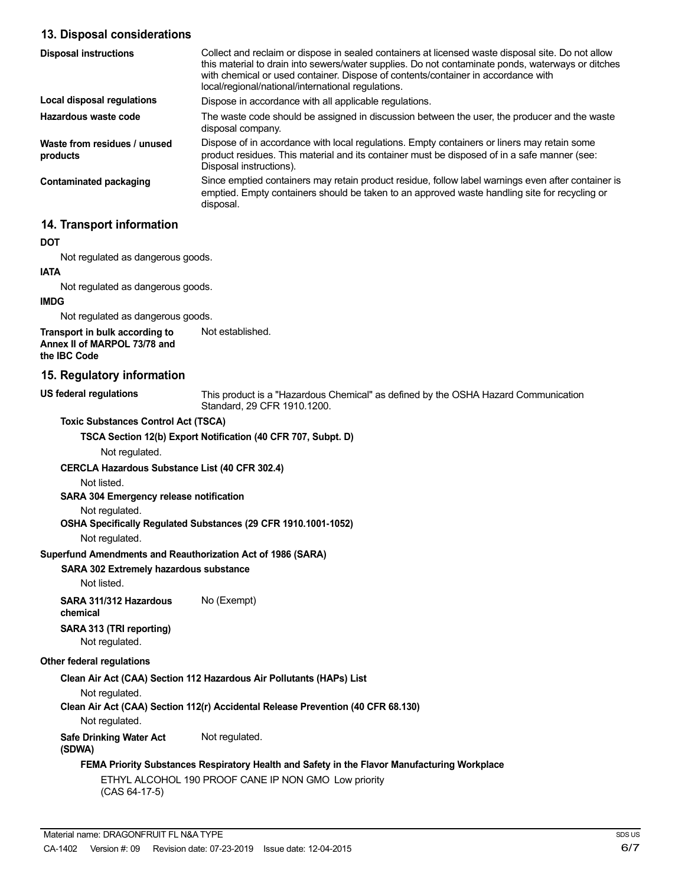## **13. Disposal considerations**

| <b>Disposal instructions</b>             | Collect and reclaim or dispose in sealed containers at licensed waste disposal site. Do not allow<br>this material to drain into sewers/water supplies. Do not contaminate ponds, waterways or ditches<br>with chemical or used container. Dispose of contents/container in accordance with<br>local/regional/national/international regulations. |
|------------------------------------------|---------------------------------------------------------------------------------------------------------------------------------------------------------------------------------------------------------------------------------------------------------------------------------------------------------------------------------------------------|
| Local disposal regulations               | Dispose in accordance with all applicable regulations.                                                                                                                                                                                                                                                                                            |
| Hazardous waste code                     | The waste code should be assigned in discussion between the user, the producer and the waste<br>disposal company.                                                                                                                                                                                                                                 |
| Waste from residues / unused<br>products | Dispose of in accordance with local regulations. Empty containers or liners may retain some<br>product residues. This material and its container must be disposed of in a safe manner (see:<br>Disposal instructions).                                                                                                                            |
| Contaminated packaging                   | Since emptied containers may retain product residue, follow label warnings even after container is<br>emptied. Empty containers should be taken to an approved waste handling site for recycling or<br>disposal.                                                                                                                                  |

## **14. Transport information**

#### **DOT**

Not regulated as dangerous goods.

#### **IATA**

Not regulated as dangerous goods.

#### **IMDG**

Not regulated as dangerous goods.

**Transport in bulk according to Annex II of MARPOL 73/78 and the IBC Code** Not established.

### **15. Regulatory information**

**US federal regulations**

This product is a "Hazardous Chemical" as defined by the OSHA Hazard Communication Standard, 29 CFR 1910.1200.

**Toxic Substances Control Act (TSCA)**

**TSCA Section 12(b) Export Notification (40 CFR 707, Subpt. D)**

Not regulated.

#### **CERCLA Hazardous Substance List (40 CFR 302.4)**

Not listed.

**SARA 304 Emergency release notification**

# Not regulated.

**OSHA Specifically Regulated Substances (29 CFR 1910.1001-1052)**

Not regulated.

#### **Superfund Amendments and Reauthorization Act of 1986 (SARA)**

#### **SARA 302 Extremely hazardous substance**

Not listed.

**SARA 311/312 Hazardous** No (Exempt) **chemical**

**SARA 313 (TRI reporting)** Not regulated.

#### **Other federal regulations**

**Clean Air Act (CAA) Section 112 Hazardous Air Pollutants (HAPs) List**

Not regulated.

**Clean Air Act (CAA) Section 112(r) Accidental Release Prevention (40 CFR 68.130)**

Not regulated.

**Safe Drinking Water Act** Not regulated.

## **(SDWA)**

## **FEMA Priority Substances Respiratory Health and Safety in the Flavor Manufacturing Workplace**

ETHYL ALCOHOL 190 PROOF CANE IP NON GMO Low priority (CAS 64-17-5)